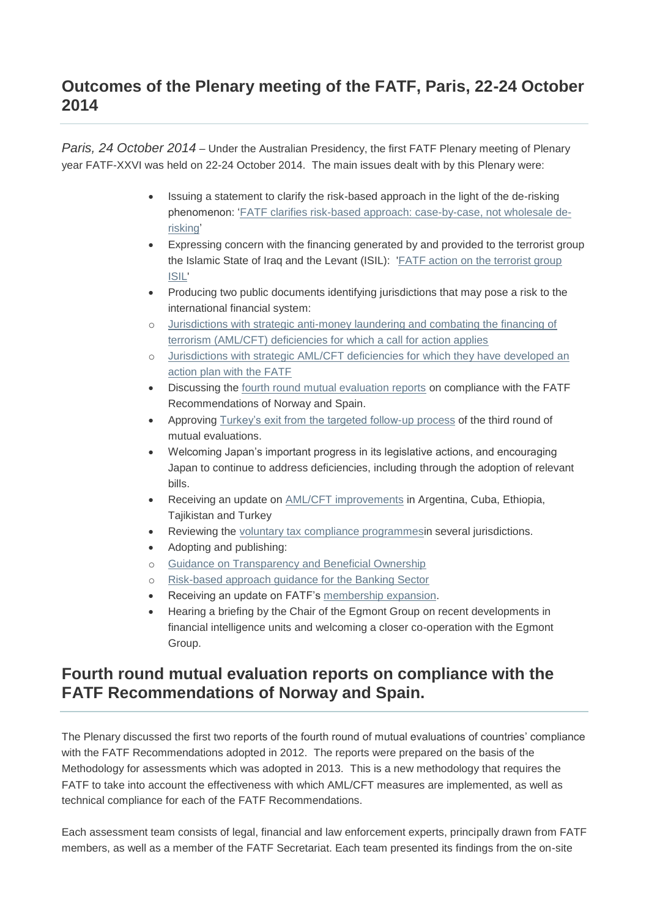#### **Outcomes of the Plenary meeting of the FATF, Paris, 22-24 October 2014**

*Paris, 24 October 2014* – Under the Australian Presidency, the first FATF Plenary meeting of Plenary year FATF-XXVI was held on 22-24 October 2014. The main issues dealt with by this Plenary were:

- Issuing a statement to clarify the risk-based approach in the light of the de-risking phenomenon: ['FATF clarifies risk-based approach: case-by-case, not wholesale de](http://www.fatf-gafi.org/topics/fatfrecommendations/documents/rba-and-de-risking.html)[risking'](http://www.fatf-gafi.org/topics/fatfrecommendations/documents/rba-and-de-risking.html)
- Expressing concern with the financing generated by and provided to the terrorist group the Islamic State of Iraq and the Levant (ISIL): ['FATF action on the terrorist group](http://www.fatf-gafi.org/topics/fatfgeneral/documents/fatf-action-isil.html)  [ISIL'](http://www.fatf-gafi.org/topics/fatfgeneral/documents/fatf-action-isil.html)
- Producing two public documents identifying jurisdictions that may pose a risk to the international financial system:
- o [Jurisdictions with strategic anti-money laundering and combating the financing of](http://www.fatf-gafi.org/documents/documents/public-statement-oct2014.html)  [terrorism \(AML/CFT\) deficiencies for which a call for action applies](http://www.fatf-gafi.org/documents/documents/public-statement-oct2014.html)
- o [Jurisdictions with strategic AML/CFT deficiencies for which they have developed an](http://www.fatf-gafi.org/documents/documents/fatf-compliance-oct-2014.html)  [action plan with the FATF](http://www.fatf-gafi.org/documents/documents/fatf-compliance-oct-2014.html)
- Discussing the [fourth round mutual evaluation reports](http://www.fatf-gafi.org/documents/news/plenary-outcomes-october-2014.html#fourthround) on compliance with the FATF Recommendations of Norway and Spain.
- Approving [Turkey's exit from the targeted follow-up process](http://www.fatf-gafi.org/documents/news/plenary-outcomes-october-2014.html#turkeyexit) of the third round of mutual evaluations.
- Welcoming Japan's important progress in its legislative actions, and encouraging Japan to continue to address deficiencies, including through the adoption of relevant bills.
- Receiving an update on [AML/CFT improvements](http://www.fatf-gafi.org/documents/news/plenary-outcomes-october-2014.html#update_amlcft) in Argentina, Cuba, Ethiopia, Tajikistan and Turkey
- Reviewing the [voluntary tax compliance programmesi](http://www.fatf-gafi.org/documents/news/plenary-outcomes-october-2014.html#vtc)n several jurisdictions.
- Adopting and publishing:
- o [Guidance on Transparency and Beneficial Ownership](http://www.fatf-gafi.org/documents/news/plenary-outcomes-october-2014.html#tbo)
- o [Risk-based approach guidance for the Banking Sector](http://www.fatf-gafi.org/documents/news/plenary-outcomes-october-2014.html#rba_banks)
- Receiving an update on FATF's [membership expansion.](http://www.fatf-gafi.org/documents/news/plenary-outcomes-october-2014.html#member)
- Hearing a briefing by the Chair of the Egmont Group on recent developments in financial intelligence units and welcoming a closer co-operation with the Egmont Group.

#### **Fourth round mutual evaluation reports on compliance with the FATF Recommendations of Norway and Spain.**

The Plenary discussed the first two reports of the fourth round of mutual evaluations of countries' compliance with the FATF Recommendations adopted in 2012. The reports were prepared on the basis of the Methodology for assessments which was adopted in 2013. This is a new methodology that requires the FATF to take into account the effectiveness with which AML/CFT measures are implemented, as well as technical compliance for each of the FATF Recommendations.

Each assessment team consists of legal, financial and law enforcement experts, principally drawn from FATF members, as well as a member of the FATF Secretariat. Each team presented its findings from the on-site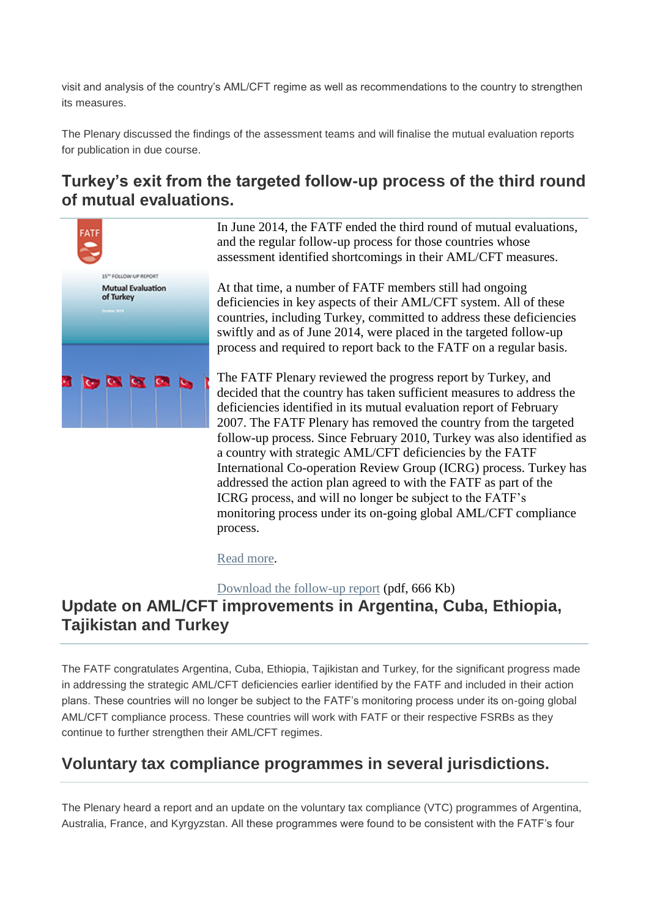visit and analysis of the country's AML/CFT regime as well as recommendations to the country to strengthen its measures.

The Plenary discussed the findings of the assessment teams and will finalise the mutual evaluation reports for publication in due course.

## **Turkey's exit from the targeted follow-up process of the third round of mutual evaluations.**



In June 2014, the FATF ended the third round of mutual evaluations, and the regular follow-up process for those countries whose assessment identified shortcomings in their AML/CFT measures.

At that time, a number of FATF members still had ongoing deficiencies in key aspects of their AML/CFT system. All of these countries, including Turkey, committed to address these deficiencies swiftly and as of June 2014, were placed in the targeted follow-up process and required to report back to the FATF on a regular basis.

The FATF Plenary reviewed the progress report by Turkey, and decided that the country has taken sufficient measures to address the deficiencies identified in its mutual evaluation report of February 2007. The FATF Plenary has removed the country from the targeted follow-up process. Since February 2010, Turkey was also identified as a country with strategic AML/CFT deficiencies by the FATF International Co-operation Review Group (ICRG) process. Turkey has addressed the action plan agreed to with the FATF as part of the ICRG process, and will no longer be subject to the FATF's monitoring process under its on-going global AML/CFT compliance process.

[Read more.](http://www.fatf-gafi.org/countries/s-t/turkey/documents/fur-turkey-2014.html)

[Download the follow-up report](http://www.fatf-gafi.org/media/fatf/documents/reports/mer/Turkey-FUR-2014.pdf) (pdf, 666 Kb) **Update on AML/CFT improvements in Argentina, Cuba, Ethiopia, Tajikistan and Turkey**

The FATF congratulates Argentina, Cuba, Ethiopia, Tajikistan and Turkey, for the significant progress made in addressing the strategic AML/CFT deficiencies earlier identified by the FATF and included in their action plans. These countries will no longer be subject to the FATF's monitoring process under its on-going global AML/CFT compliance process. These countries will work with FATF or their respective FSRBs as they continue to further strengthen their AML/CFT regimes.

### **Voluntary tax compliance programmes in several jurisdictions.**

The Plenary heard a report and an update on the voluntary tax compliance (VTC) programmes of Argentina, Australia, France, and Kyrgyzstan. All these programmes were found to be consistent with the FATF's four